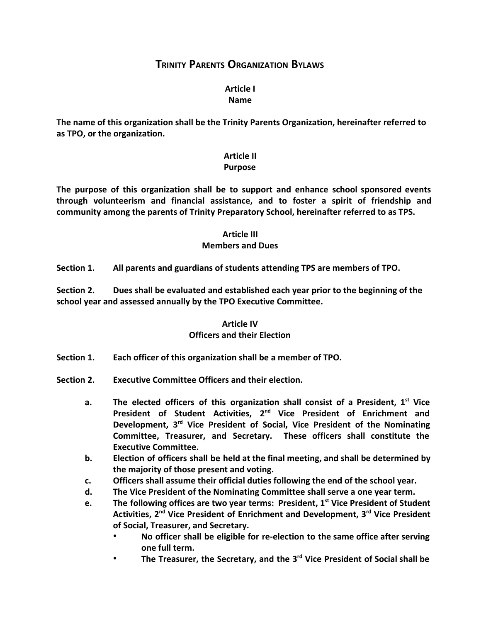# **TRINITY PARENTS ORGANIZATION BYLAWS**

#### **Article I Name**

**The name of this organization shall be the Trinity Parents Organization, hereinafter referred to as TPO, or the organization.**

## **Article II**

#### **Purpose**

**The purpose of this organization shall be to support and enhance school sponsored events through volunteerism and financial assistance, and to foster a spirit of friendship and community among the parents of Trinity Preparatory School, hereinafter referred to as TPS.**

## **Article III**

## **Members and Dues**

**Section 1. All parents and guardians of students attending TPS are members of TPO.**

**Section 2. Dues shall be evaluated and established each year prior to the beginning of the school year and assessed annually by the TPO Executive Committee.**

## **Article IV Officers and their Election**

- **Section 1. Each officer of this organization shall be a member of TPO.**
- **Section 2. Executive Committee Officers and their election.**
	- **a. The elected officers of this organization shall consist of a President, 1 st Vice President of Student Activities, 2 nd Vice President of Enrichment and Development, 3 rd Vice President of Social, Vice President of the Nominating Committee, Treasurer, and Secretary. These officers shall constitute the Executive Committee.**
	- **b. Election of officers shall be held at the final meeting, and shall be determined by the majority of those present and voting.**
	- **c. Officers shall assume their official duties following the end of the school year.**
	- **d. The Vice President of the Nominating Committee shall serve a one year term.**
	- **e. The following offices are two year terms: President, 1 st Vice President of Student Activities, 2 nd Vice President of Enrichment and Development, 3 rd Vice President of Social, Treasurer, and Secretary.**
		- **No officer shall be eligible for re-election to the same office after serving one full term.**
		- **The Treasurer, the Secretary, and the 3 rd Vice President of Social shall be**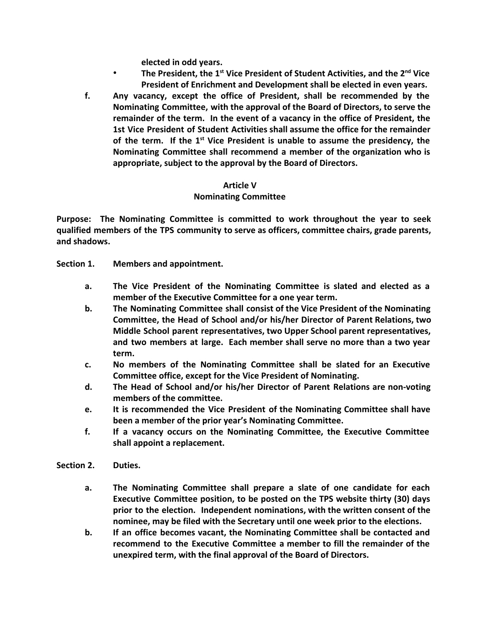**elected in odd years.**

- **The President, the 1 st Vice President of Student Activities, and the 2 nd Vice President of Enrichment and Development shall be elected in even years.**
- **f. Any vacancy, except the office of President, shall be recommended by the Nominating Committee, with the approval of the Board of Directors, to serve the remainder of the term. In the event of a vacancy in the office of President, the 1st Vice President of Student Activities shall assume the office for the remainder of the term. If the 1 st Vice President is unable to assume the presidency, the Nominating Committee shall recommend a member of the organization who is appropriate, subject to the approval by the Board of Directors.**

#### **Article V**

## **Nominating Committee**

**Purpose: The Nominating Committee is committed to work throughout the year to seek qualified members of the TPS community to serve as officers, committee chairs, grade parents, and shadows.**

- **Section 1. Members and appointment.**
	- **a. The Vice President of the Nominating Committee is slated and elected as a member of the Executive Committee for a one year term.**
	- **b. The Nominating Committee shall consist of the Vice President of the Nominating Committee, the Head of School and/or his/her Director of Parent Relations, two Middle School parent representatives, two Upper School parent representatives, and two members at large. Each member shall serve no more than a two year term.**
	- **c. No members of the Nominating Committee shall be slated for an Executive Committee office, except for the Vice President of Nominating.**
	- **d. The Head of School and/or his/her Director of Parent Relations are non-voting members of the committee.**
	- **e. It is recommended the Vice President of the Nominating Committee shall have been a member of the prior year's Nominating Committee.**
	- **f. If a vacancy occurs on the Nominating Committee, the Executive Committee shall appoint a replacement.**

#### **Section 2. Duties.**

- **a. The Nominating Committee shall prepare a slate of one candidate for each Executive Committee position, to be posted on the TPS website thirty (30) days prior to the election. Independent nominations, with the written consent of the nominee, may be filed with the Secretary until one week prior to the elections.**
- **b. If an office becomes vacant, the Nominating Committee shall be contacted and recommend to the Executive Committee a member to fill the remainder of the unexpired term, with the final approval of the Board of Directors.**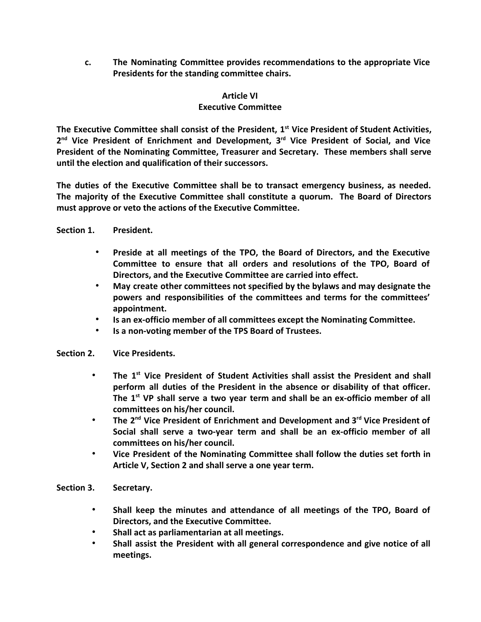**c. The Nominating Committee provides recommendations to the appropriate Vice Presidents for the standing committee chairs.**

### **Article VI**

## **Executive Committee**

**The Executive Committee shall consist of the President, 1 st Vice President of Student Activities, 2 nd Vice President of Enrichment and Development, 3 rd Vice President of Social, and Vice President of the Nominating Committee, Treasurer and Secretary. These members shall serve until the election and qualification of their successors.**

**The duties of the Executive Committee shall be to transact emergency business, as needed. The majority of the Executive Committee shall constitute a quorum. The Board of Directors must approve or veto the actions of the Executive Committee.**

- **Section 1. President.**
	- **Preside at all meetings of the TPO, the Board of Directors, and the Executive Committee to ensure that all orders and resolutions of the TPO, Board of Directors, and the Executive Committee are carried into effect.**
	- **May create other committees not specified by the bylaws and may designate the powers and responsibilities of the committees and terms for the committees' appointment.**
	- **Is an ex-officio member of all committees except the Nominating Committee.**
	- **Is a non-voting member of the TPS Board of Trustees.**

#### **Section 2. Vice Presidents.**

- **The 1 st Vice President of Student Activities shall assist the President and shall perform all duties of the President in the absence or disability of that officer. The 1 st VP shall serve a two year term and shall be an ex-officio member of all committees on his/her council.**
- **The 2 nd Vice President of Enrichment and Development and 3 rd Vice President of Social shall serve a two-year term and shall be an ex-officio member of all committees on his/her council.**
- **Vice President of the Nominating Committee shall follow the duties set forth in Article V, Section 2 and shall serve a one year term.**
- **Section 3. Secretary.**
	- **Shall keep the minutes and attendance of all meetings of the TPO, Board of Directors, and the Executive Committee.**
	- **Shall act as parliamentarian at all meetings.**
	- **Shall assist the President with all general correspondence and give notice of all meetings.**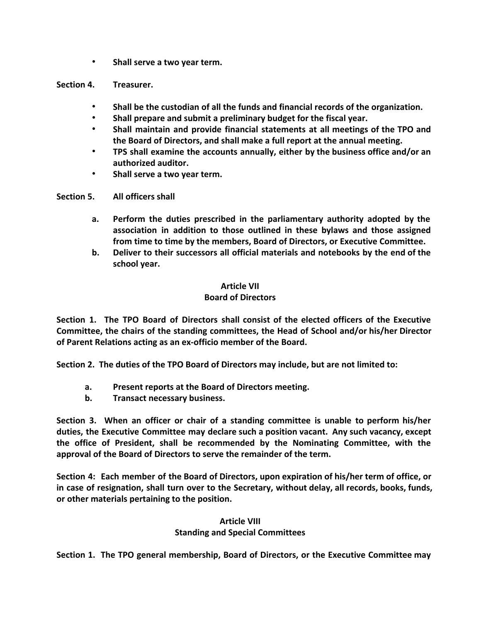- **Shall serve a two year term.**
- **Section 4. Treasurer.**
	- **Shall be the custodian of all the funds and financial records of the organization.**
	- **Shall prepare and submit a preliminary budget for the fiscal year.**
	- **Shall maintain and provide financial statements at all meetings of the TPO and the Board of Directors, and shall make a full report at the annual meeting.**
	- **TPS shall examine the accounts annually, either by the business office and/or an authorized auditor.**
	- **Shall serve a two year term.**

**Section 5. All officers shall**

- **a. Perform the duties prescribed in the parliamentary authority adopted by the association in addition to those outlined in these bylaws and those assigned from time to time by the members, Board of Directors, or Executive Committee.**
- **b. Deliver to their successors all official materials and notebooks by the end of the school year.**

## **Article VII**

## **Board of Directors**

**Section 1. The TPO Board of Directors shall consist of the elected officers of the Executive Committee, the chairs of the standing committees, the Head of School and/or his/her Director of Parent Relations acting as an ex-officio member of the Board.**

**Section 2. The duties of the TPO Board of Directors may include, but are not limited to:**

- **a. Present reports at the Board of Directors meeting.**
- **b. Transact necessary business.**

**Section 3. When an officer or chair of a standing committee is unable to perform his/her duties, the Executive Committee may declare such a position vacant. Any such vacancy, except the office of President, shall be recommended by the Nominating Committee, with the approval of the Board of Directors to serve the remainder of the term.**

**Section 4: Each member of the Board of Directors, upon expiration of his/her term of office, or in case of resignation, shall turn over to the Secretary, without delay, all records, books, funds, or other materials pertaining to the position.**

#### **Article VIII Standing and Special Committees**

**Section 1. The TPO general membership, Board of Directors, or the Executive Committee may**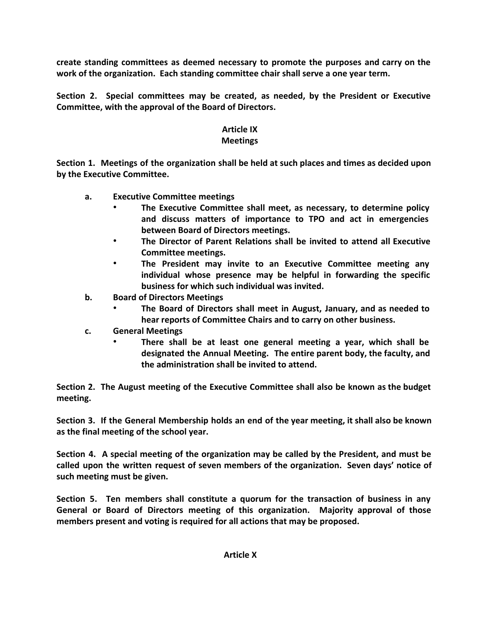**create standing committees as deemed necessary to promote the purposes and carry on the work of the organization. Each standing committee chair shall serve a one year term.**

**Section 2. Special committees may be created, as needed, by the President or Executive Committee, with the approval of the Board of Directors.**

# **Article IX**

# **Meetings**

**Section 1. Meetings of the organization shall be held at such places and times as decided upon by the Executive Committee.**

- **a. Executive Committee meetings**
	- **The Executive Committee shall meet, as necessary, to determine policy and discuss matters of importance to TPO and act in emergencies between Board of Directors meetings.**
	- **The Director of Parent Relations shall be invited to attend all Executive Committee meetings.**
	- **The President may invite to an Executive Committee meeting any individual whose presence may be helpful in forwarding the specific business for which such individual was invited.**
- **b. Board of Directors Meetings**
	- **The Board of Directors shall meet in August, January, and as needed to hear reports of Committee Chairs and to carry on other business.**
- **c. General Meetings**
	- **There shall be at least one general meeting a year, which shall be designated the Annual Meeting. The entire parent body, the faculty, and the administration shall be invited to attend.**

**Section 2. The August meeting of the Executive Committee shall also be known as the budget meeting.**

**Section 3. If the General Membership holds an end of the year meeting, it shall also be known as the final meeting of the school year.**

**Section 4. A special meeting of the organization may be called by the President, and must be called upon the written request of seven members of the organization. Seven days' notice of such meeting must be given.**

**Section 5. Ten members shall constitute a quorum for the transaction of business in any General or Board of Directors meeting of this organization. Majority approval of those members present and voting is required for all actions that may be proposed.**